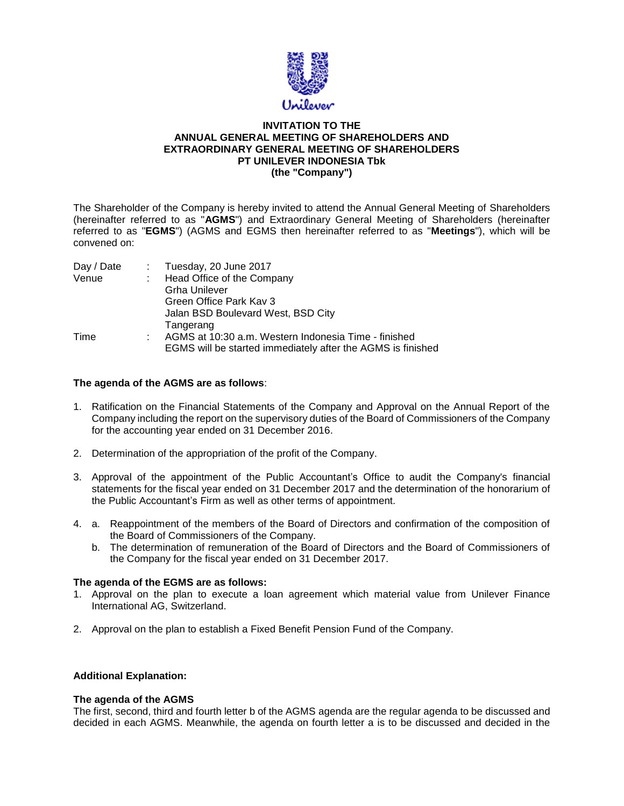

### **INVITATION TO THE ANNUAL GENERAL MEETING OF SHAREHOLDERS AND EXTRAORDINARY GENERAL MEETING OF SHAREHOLDERS PT UNILEVER INDONESIA Tbk (the "Company")**

The Shareholder of the Company is hereby invited to attend the Annual General Meeting of Shareholders (hereinafter referred to as "**AGMS**") and Extraordinary General Meeting of Shareholders (hereinafter referred to as "**EGMS**") (AGMS and EGMS then hereinafter referred to as "**Meetings**"), which will be convened on:

| Day / Date | $\therefore$ Tuesday, 20 June 2017                          |
|------------|-------------------------------------------------------------|
| Venue      | Head Office of the Company                                  |
|            | <b>Grha Unilever</b>                                        |
|            | Green Office Park Kay 3                                     |
|            | Jalan BSD Boulevard West, BSD City                          |
|            | Tangerang                                                   |
| Time       | AGMS at 10:30 a.m. Western Indonesia Time - finished        |
|            | EGMS will be started immediately after the AGMS is finished |

## **The agenda of the AGMS are as follows**:

- 1. Ratification on the Financial Statements of the Company and Approval on the Annual Report of the Company including the report on the supervisory duties of the Board of Commissioners of the Company for the accounting year ended on 31 December 2016.
- 2. Determination of the appropriation of the profit of the Company.
- 3. Approval of the appointment of the Public Accountant's Office to audit the Company's financial statements for the fiscal year ended on 31 December 2017 and the determination of the honorarium of the Public Accountant's Firm as well as other terms of appointment.
- 4. a. Reappointment of the members of the Board of Directors and confirmation of the composition of the Board of Commissioners of the Company.
	- b. The determination of remuneration of the Board of Directors and the Board of Commissioners of the Company for the fiscal year ended on 31 December 2017.

### **The agenda of the EGMS are as follows:**

- 1. Approval on the plan to execute a loan agreement which material value from Unilever Finance International AG, Switzerland.
- 2. Approval on the plan to establish a Fixed Benefit Pension Fund of the Company.

# **Additional Explanation:**

### **The agenda of the AGMS**

The first, second, third and fourth letter b of the AGMS agenda are the regular agenda to be discussed and decided in each AGMS. Meanwhile, the agenda on fourth letter a is to be discussed and decided in the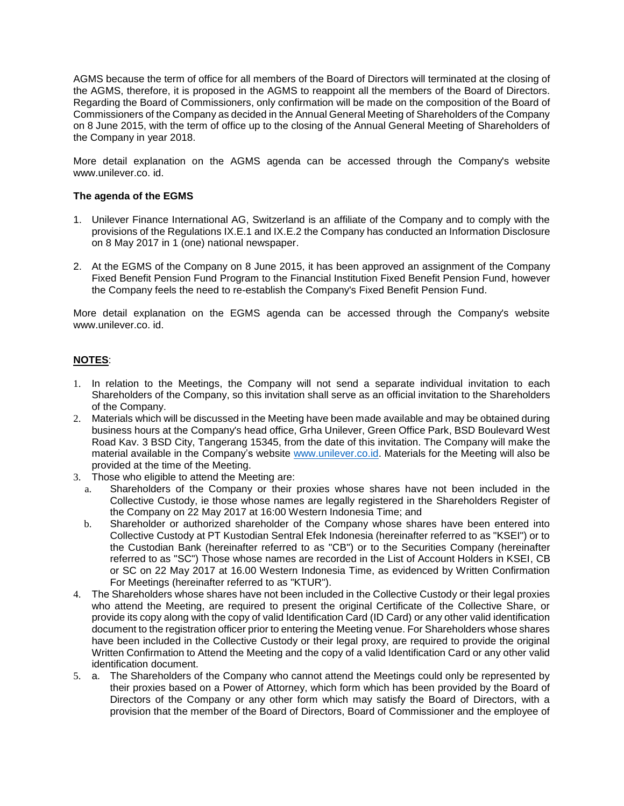AGMS because the term of office for all members of the Board of Directors will terminated at the closing of the AGMS, therefore, it is proposed in the AGMS to reappoint all the members of the Board of Directors. Regarding the Board of Commissioners, only confirmation will be made on the composition of the Board of Commissioners of the Company as decided in the Annual General Meeting of Shareholders of the Company on 8 June 2015, with the term of office up to the closing of the Annual General Meeting of Shareholders of the Company in year 2018.

More detail explanation on the AGMS agenda can be accessed through the Company's website www.unilever.co. id.

## **The agenda of the EGMS**

- 1. Unilever Finance International AG, Switzerland is an affiliate of the Company and to comply with the provisions of the Regulations IX.E.1 and IX.E.2 the Company has conducted an Information Disclosure on 8 May 2017 in 1 (one) national newspaper.
- 2. At the EGMS of the Company on 8 June 2015, it has been approved an assignment of the Company Fixed Benefit Pension Fund Program to the Financial Institution Fixed Benefit Pension Fund, however the Company feels the need to re-establish the Company's Fixed Benefit Pension Fund.

More detail explanation on the EGMS agenda can be accessed through the Company's website www.unilever.co. id.

# **NOTES**:

- 1. In relation to the Meetings, the Company will not send a separate individual invitation to each Shareholders of the Company, so this invitation shall serve as an official invitation to the Shareholders of the Company.
- 2. Materials which will be discussed in the Meeting have been made available and may be obtained during business hours at the Company's head office, Grha Unilever, Green Office Park, BSD Boulevard West Road Kav. 3 BSD City, Tangerang 15345, from the date of this invitation. The Company will make the material available in the Company's website [www.unilever.co.id.](http://www.unilever.co.id/) Materials for the Meeting will also be provided at the time of the Meeting.
- 3. Those who eligible to attend the Meeting are:
	- a. Shareholders of the Company or their proxies whose shares have not been included in the Collective Custody, ie those whose names are legally registered in the Shareholders Register of the Company on 22 May 2017 at 16:00 Western Indonesia Time; and
	- b. Shareholder or authorized shareholder of the Company whose shares have been entered into Collective Custody at PT Kustodian Sentral Efek Indonesia (hereinafter referred to as "KSEI") or to the Custodian Bank (hereinafter referred to as "CB") or to the Securities Company (hereinafter referred to as "SC") Those whose names are recorded in the List of Account Holders in KSEI, CB or SC on 22 May 2017 at 16.00 Western Indonesia Time, as evidenced by Written Confirmation For Meetings (hereinafter referred to as "KTUR").
- 4. The Shareholders whose shares have not been included in the Collective Custody or their legal proxies who attend the Meeting, are required to present the original Certificate of the Collective Share, or provide its copy along with the copy of valid Identification Card (ID Card) or any other valid identification document to the registration officer prior to entering the Meeting venue. For Shareholders whose shares have been included in the Collective Custody or their legal proxy, are required to provide the original Written Confirmation to Attend the Meeting and the copy of a valid Identification Card or any other valid identification document.
- 5. a. The Shareholders of the Company who cannot attend the Meetings could only be represented by their proxies based on a Power of Attorney, which form which has been provided by the Board of Directors of the Company or any other form which may satisfy the Board of Directors, with a provision that the member of the Board of Directors, Board of Commissioner and the employee of